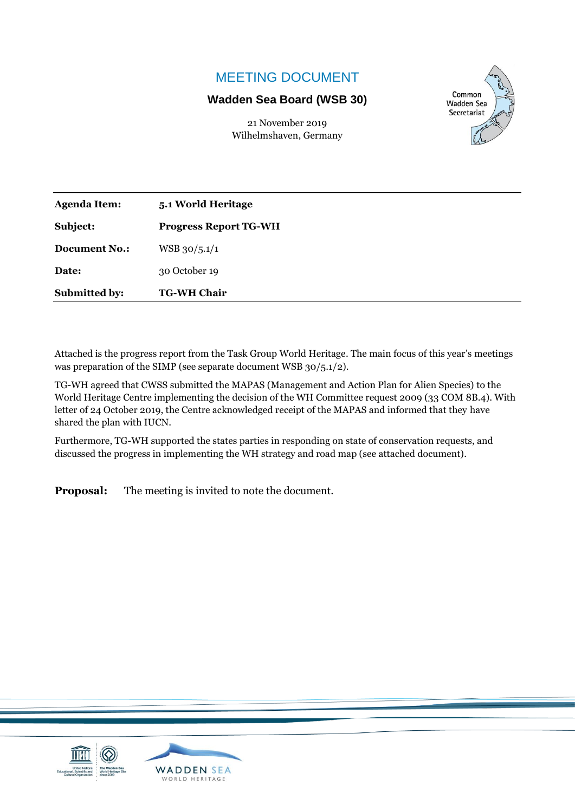## MEETING DOCUMENT

## **Wadden Sea Board (WSB 30)**

21 November 2019 Wilhelmshaven, Germany



| <b>Agenda Item:</b>  | 5.1 World Heritage           |
|----------------------|------------------------------|
| Subject:             | <b>Progress Report TG-WH</b> |
| <b>Document No.:</b> | $WSB$ 30/5.1/1               |
| Date:                | 30 October 19                |
| Submitted by:        | <b>TG-WH Chair</b>           |

Attached is the progress report from the Task Group World Heritage. The main focus of this year's meetings was preparation of the SIMP (see separate document WSB 30/5.1/2).

TG-WH agreed that CWSS submitted the MAPAS (Management and Action Plan for Alien Species) to the World Heritage Centre implementing the decision of the WH Committee request 2009 (33 COM 8B.4). With letter of 24 October 2019, the Centre acknowledged receipt of the MAPAS and informed that they have shared the plan with IUCN.

Furthermore, TG-WH supported the states parties in responding on state of conservation requests, and discussed the progress in implementing the WH strategy and road map (see attached document).

**Proposal:** The meeting is invited to note the document.

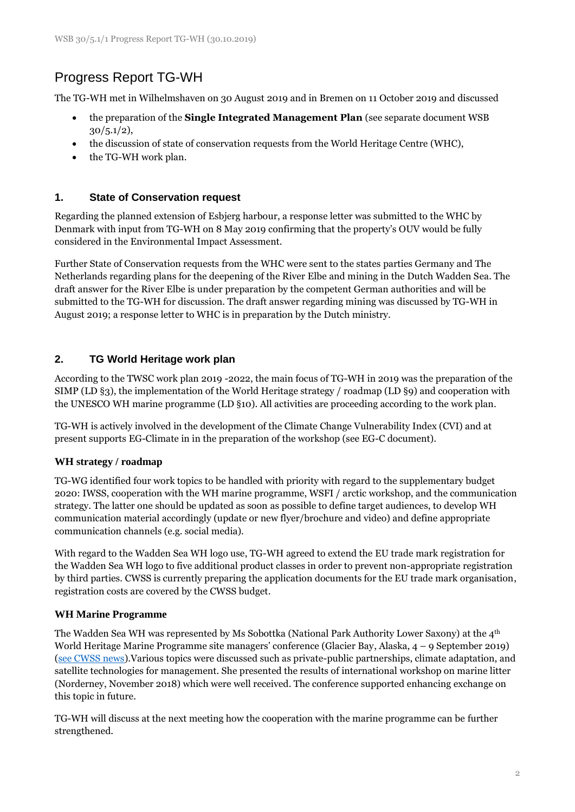# Progress Report TG-WH

The TG-WH met in Wilhelmshaven on 30 August 2019 and in Bremen on 11 October 2019 and discussed

- the preparation of the **Single Integrated Management Plan** (see separate document WSB  $30/5.1/2$ ),
- the discussion of state of conservation requests from the World Heritage Centre (WHC),
- the TG-WH work plan.

## **1. State of Conservation request**

Regarding the planned extension of Esbjerg harbour, a response letter was submitted to the WHC by Denmark with input from TG-WH on 8 May 2019 confirming that the property's OUV would be fully considered in the Environmental Impact Assessment.

Further State of Conservation requests from the WHC were sent to the states parties Germany and The Netherlands regarding plans for the deepening of the River Elbe and mining in the Dutch Wadden Sea. The draft answer for the River Elbe is under preparation by the competent German authorities and will be submitted to the TG-WH for discussion. The draft answer regarding mining was discussed by TG-WH in August 2019; a response letter to WHC is in preparation by the Dutch ministry.

## **2. TG World Heritage work plan**

According to the TWSC work plan 2019 -2022, the main focus of TG-WH in 2019 was the preparation of the SIMP (LD §3), the implementation of the World Heritage strategy / roadmap (LD §9) and cooperation with the UNESCO WH marine programme (LD §10). All activities are proceeding according to the work plan.

TG-WH is actively involved in the development of the Climate Change Vulnerability Index (CVI) and at present supports EG-Climate in in the preparation of the workshop (see EG-C document).

## **WH strategy / roadmap**

TG-WG identified four work topics to be handled with priority with regard to the supplementary budget 2020: IWSS, cooperation with the WH marine programme, WSFI / arctic workshop, and the communication strategy. The latter one should be updated as soon as possible to define target audiences, to develop WH communication material accordingly (update or new flyer/brochure and video) and define appropriate communication channels (e.g. social media).

With regard to the Wadden Sea WH logo use, TG-WH agreed to extend the EU trade mark registration for the Wadden Sea WH logo to five additional product classes in order to prevent non-appropriate registration by third parties. CWSS is currently preparing the application documents for the EU trade mark organisation, registration costs are covered by the CWSS budget.

## **WH Marine Programme**

The Wadden Sea WH was represented by Ms Sobottka (National Park Authority Lower Saxony) at the  $4<sup>th</sup>$ World Heritage Marine Programme site managers' conference (Glacier Bay, Alaska, 4 – 9 September 2019) [\(see CWSS news\)](https://www.waddensea-worldheritage.org/news/wadden-sea-among-world%E2%80%99s-flagship-marine-protected-areas-milestone-conference-united-nations).Various topics were discussed such as private-public partnerships, climate adaptation, and satellite technologies for management. She presented the results of international workshop on marine litter (Norderney, November 2018) which were well received. The conference supported enhancing exchange on this topic in future.

TG-WH will discuss at the next meeting how the cooperation with the marine programme can be further strengthened.